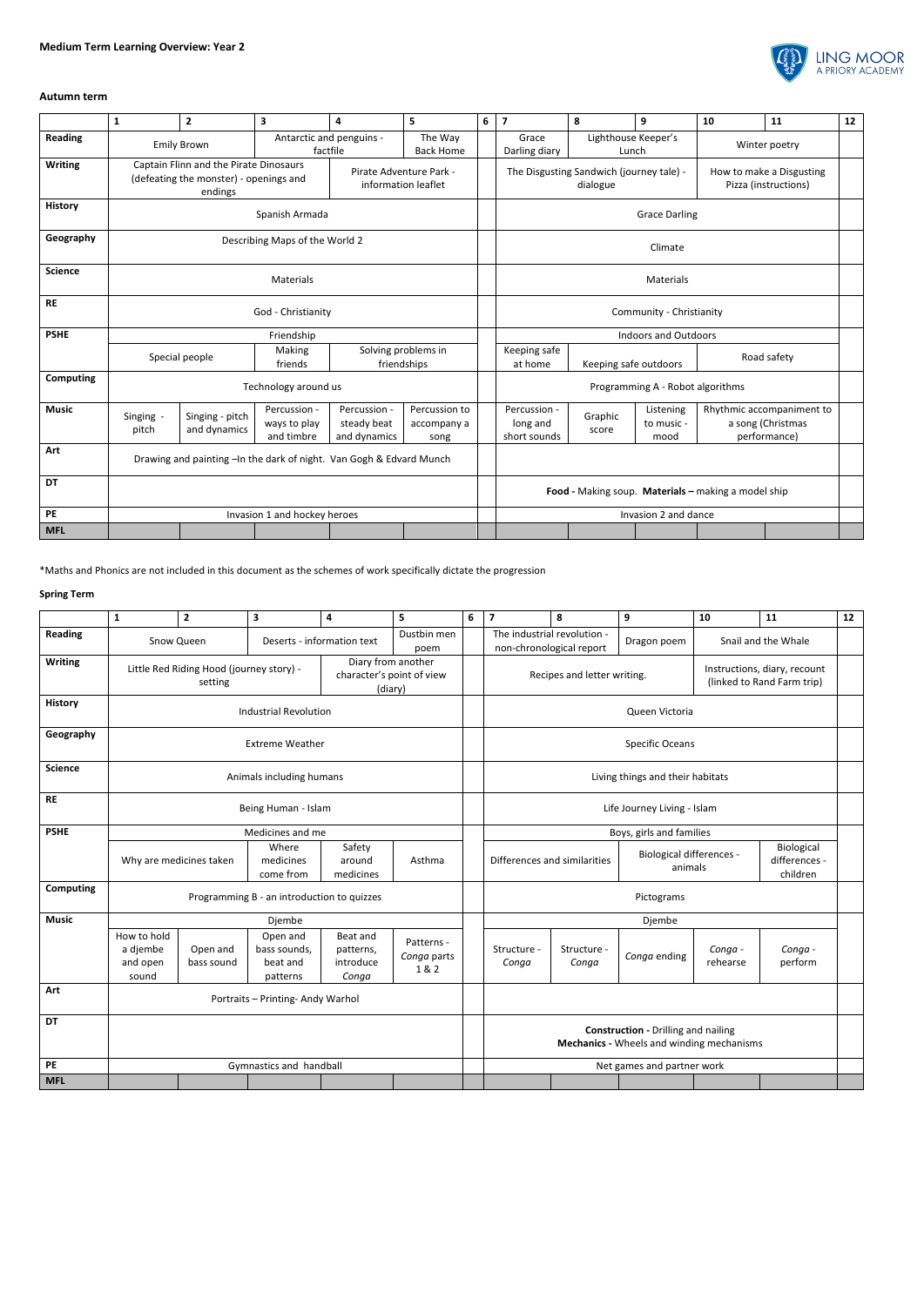

## **Autumn term**

|                  | $\mathbf{1}$                        | $\mathbf{2}$                                                                                | 3                                                                   | 4                                           | 5                                                   | 6                      | $\overline{\mathbf{z}}$                              | 8                   | 9                               | 10                                                             | 11          | 12 |
|------------------|-------------------------------------|---------------------------------------------------------------------------------------------|---------------------------------------------------------------------|---------------------------------------------|-----------------------------------------------------|------------------------|------------------------------------------------------|---------------------|---------------------------------|----------------------------------------------------------------|-------------|----|
| Reading          |                                     | <b>Emily Brown</b>                                                                          | Antarctic and penguins -<br>The Way<br>factfile<br><b>Back Home</b> |                                             |                                                     | Grace<br>Darling diary | Lunch                                                | Lighthouse Keeper's | Winter poetry                   |                                                                |             |    |
| <b>Writing</b>   |                                     | Captain Flinn and the Pirate Dinosaurs<br>(defeating the monster) - openings and<br>endings |                                                                     |                                             | Pirate Adventure Park -<br>information leaflet      |                        | The Disgusting Sandwich (journey tale) -<br>dialogue |                     |                                 | How to make a Disgusting<br>Pizza (instructions)               |             |    |
| <b>History</b>   |                                     |                                                                                             | Spanish Armada                                                      |                                             | <b>Grace Darling</b>                                |                        |                                                      |                     |                                 |                                                                |             |    |
| Geography        |                                     |                                                                                             | Describing Maps of the World 2                                      |                                             | Climate                                             |                        |                                                      |                     |                                 |                                                                |             |    |
| <b>Science</b>   |                                     |                                                                                             | <b>Materials</b>                                                    |                                             | Materials                                           |                        |                                                      |                     |                                 |                                                                |             |    |
| <b>RE</b>        |                                     |                                                                                             | God - Christianity                                                  |                                             | Community - Christianity                            |                        |                                                      |                     |                                 |                                                                |             |    |
| <b>PSHE</b>      |                                     |                                                                                             | Friendship                                                          |                                             |                                                     |                        | <b>Indoors and Outdoors</b>                          |                     |                                 |                                                                |             |    |
|                  | Making<br>Special people<br>friends |                                                                                             |                                                                     | Solving problems in<br>friendships          |                                                     |                        | Keeping safe<br>at home                              |                     | Keeping safe outdoors           |                                                                | Road safety |    |
| <b>Computing</b> |                                     |                                                                                             | Technology around us                                                |                                             |                                                     |                        | Programming A - Robot algorithms                     |                     |                                 |                                                                |             |    |
| <b>Music</b>     | Singing -<br>pitch                  | Singing - pitch<br>and dynamics                                                             | Percussion -<br>ways to play<br>and timbre                          | Percussion -<br>steady beat<br>and dynamics | Percussion to<br>accompany a<br>song                |                        | Percussion -<br>long and<br>short sounds             | Graphic<br>score    | Listening<br>to music -<br>mood | Rhythmic accompaniment to<br>a song (Christmas<br>performance) |             |    |
| Art              |                                     | Drawing and painting - In the dark of night. Van Gogh & Edvard Munch                        |                                                                     |                                             |                                                     |                        |                                                      |                     |                                 |                                                                |             |    |
| <b>DT</b>        |                                     |                                                                                             |                                                                     |                                             | Food - Making soup. Materials - making a model ship |                        |                                                      |                     |                                 |                                                                |             |    |
| <b>PE</b>        |                                     |                                                                                             | Invasion 1 and hockey heroes                                        |                                             |                                                     |                        | Invasion 2 and dance                                 |                     |                                 |                                                                |             |    |
| <b>MFL</b>       |                                     |                                                                                             |                                                                     |                                             |                                                     |                        |                                                      |                     |                                 |                                                                |             |    |

\*Maths and Phonics are not included in this document as the schemes of work specifically dictate the progression

## **Spring Term**

|                  | 1                                                                                                                 | $\mathbf{2}$           | 3                                                | 4                                           | 5                                | 6                                                       | $\overline{\mathbf{z}}$                                                                   | 8                                          | 9                   | 10                                      | 11                 | 12 |  |
|------------------|-------------------------------------------------------------------------------------------------------------------|------------------------|--------------------------------------------------|---------------------------------------------|----------------------------------|---------------------------------------------------------|-------------------------------------------------------------------------------------------|--------------------------------------------|---------------------|-----------------------------------------|--------------------|----|--|
| <b>Reading</b>   | Dustbin men<br>Deserts - information text<br>Snow Queen<br>poem                                                   |                        |                                                  |                                             |                                  | The industrial revolution -<br>non-chronological report |                                                                                           | Dragon poem                                | Snail and the Whale |                                         |                    |    |  |
| <b>Writing</b>   | Diary from another<br>Little Red Riding Hood (journey story) -<br>character's point of view<br>setting<br>(diary) |                        |                                                  |                                             |                                  |                                                         | Instructions, diary, recount<br>Recipes and letter writing.<br>(linked to Rand Farm trip) |                                            |                     |                                         |                    |    |  |
| History          |                                                                                                                   |                        | <b>Industrial Revolution</b>                     |                                             |                                  |                                                         | Queen Victoria                                                                            |                                            |                     |                                         |                    |    |  |
| Geography        |                                                                                                                   |                        | <b>Extreme Weather</b>                           |                                             |                                  |                                                         | <b>Specific Oceans</b>                                                                    |                                            |                     |                                         |                    |    |  |
| <b>Science</b>   |                                                                                                                   |                        | Animals including humans                         |                                             |                                  |                                                         | Living things and their habitats                                                          |                                            |                     |                                         |                    |    |  |
| <b>RE</b>        |                                                                                                                   |                        | Being Human - Islam                              |                                             |                                  |                                                         | Life Journey Living - Islam                                                               |                                            |                     |                                         |                    |    |  |
| <b>PSHE</b>      |                                                                                                                   |                        | Medicines and me                                 |                                             |                                  |                                                         | Boys, girls and families                                                                  |                                            |                     |                                         |                    |    |  |
|                  | Where<br>Why are medicines taken<br>medicines<br>come from                                                        |                        | Safety<br>around<br>medicines                    | Asthma                                      |                                  | Differences and similarities                            |                                                                                           | <b>Biological differences -</b><br>animals |                     | Biological<br>differences -<br>children |                    |    |  |
| <b>Computing</b> |                                                                                                                   |                        | Programming B - an introduction to quizzes       |                                             |                                  |                                                         | Pictograms                                                                                |                                            |                     |                                         |                    |    |  |
| <b>Music</b>     |                                                                                                                   |                        | Djembe                                           |                                             |                                  |                                                         | Djembe                                                                                    |                                            |                     |                                         |                    |    |  |
|                  | How to hold<br>a djembe<br>and open<br>sound                                                                      | Open and<br>bass sound | Open and<br>bass sounds,<br>beat and<br>patterns | Beat and<br>patterns,<br>introduce<br>Conga | Patterns -<br>Conga parts<br>1&2 |                                                         | Structure -<br>Conga                                                                      | Structure -<br>Conga                       | Conga ending        | Conga -<br>rehearse                     | Conga -<br>perform |    |  |

| Art        |  | Portraits - Printing- Andy Warhol |  |                                                                                         |  |                            |  |  |  |
|------------|--|-----------------------------------|--|-----------------------------------------------------------------------------------------|--|----------------------------|--|--|--|
| DT         |  |                                   |  | <b>Construction - Drilling and nailing</b><br>Mechanics - Wheels and winding mechanisms |  |                            |  |  |  |
| I PE       |  | Gymnastics and handball           |  |                                                                                         |  | Net games and partner work |  |  |  |
| <b>MFL</b> |  |                                   |  |                                                                                         |  |                            |  |  |  |